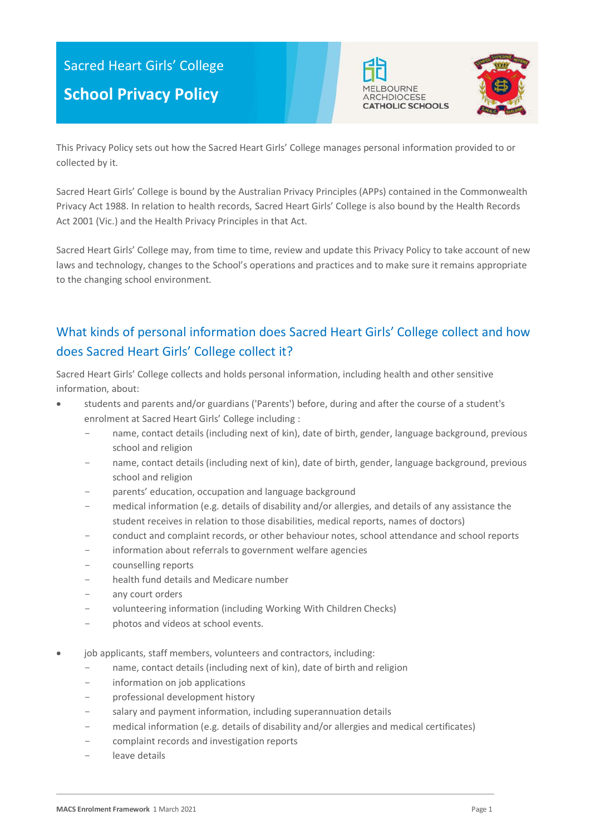# Sacred Heart Girls' College







This Privacy Policy sets out how the Sacred Heart Girls' College manages personal information provided to or collected by it.

Sacred Heart Girls' College is bound by the Australian Privacy Principles (APPs) contained in the Commonwealth Privacy Act 1988. In relation to health records, Sacred Heart Girls' College is also bound by the Health Records Act 2001 (Vic.) and the Health Privacy Principles in that Act.

Sacred Heart Girls' College may, from time to time, review and update this Privacy Policy to take account of new laws and technology, changes to the School's operations and practices and to make sure it remains appropriate to the changing school environment.

## What kinds of personal information does Sacred Heart Girls' College collect and how does Sacred Heart Girls' College collect it?

Sacred Heart Girls' College collects and holds personal information, including health and other sensitive information, about:

- students and parents and/or guardians ('Parents') before, during and after the course of a student's enrolment at Sacred Heart Girls' College including :
	- name, contact details (including next of kin), date of birth, gender, language background, previous school and religion
	- name, contact details (including next of kin), date of birth, gender, language background, previous school and religion
	- parents' education, occupation and language background
	- medical information (e.g. details of disability and/or allergies, and details of any assistance the student receives in relation to those disabilities, medical reports, names of doctors)
	- conduct and complaint records, or other behaviour notes, school attendance and school reports
	- information about referrals to government welfare agencies
	- counselling reports
	- health fund details and Medicare number
	- any court orders
	- volunteering information (including Working With Children Checks)
	- photos and videos at school events.
- job applicants, staff members, volunteers and contractors, including:
	- name, contact details (including next of kin), date of birth and religion
	- information on job applications
	- professional development history
	- salary and payment information, including superannuation details
	- medical information (e.g. details of disability and/or allergies and medical certificates)
	- complaint records and investigation reports
	- leave details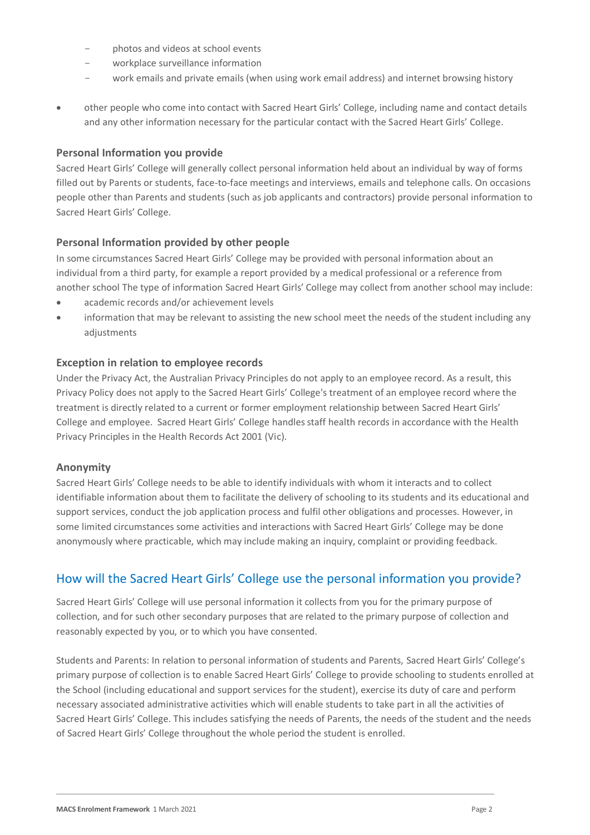- photos and videos at school events
- workplace surveillance information
- work emails and private emails (when using work email address) and internet browsing history
- other people who come into contact with Sacred Heart Girls' College, including name and contact details and any other information necessary for the particular contact with the Sacred Heart Girls' College.

#### **Personal Information you provide**

Sacred Heart Girls' College will generally collect personal information held about an individual by way of forms filled out by Parents or students, face-to-face meetings and interviews, emails and telephone calls. On occasions people other than Parents and students (such as job applicants and contractors) provide personal information to Sacred Heart Girls' College.

#### **Personal Information provided by other people**

In some circumstances Sacred Heart Girls' College may be provided with personal information about an individual from a third party, for example a report provided by a medical professional or a reference from another school The type of information Sacred Heart Girls' College may collect from another school may include:

- academic records and/or achievement levels
- information that may be relevant to assisting the new school meet the needs of the student including any adjustments

#### **Exception in relation to employee records**

Under the Privacy Act, the Australian Privacy Principles do not apply to an employee record. As a result, this Privacy Policy does not apply to the Sacred Heart Girls' College's treatment of an employee record where the treatment is directly related to a current or former employment relationship between Sacred Heart Girls' College and employee. Sacred Heart Girls' College handles staff health records in accordance with the Health Privacy Principles in the Health Records Act 2001 (Vic).

#### **Anonymity**

Sacred Heart Girls' College needs to be able to identify individuals with whom it interacts and to collect identifiable information about them to facilitate the delivery of schooling to its students and its educational and support services, conduct the job application process and fulfil other obligations and processes. However, in some limited circumstances some activities and interactions with Sacred Heart Girls' College may be done anonymously where practicable, which may include making an inquiry, complaint or providing feedback.

### How will the Sacred Heart Girls' College use the personal information you provide?

Sacred Heart Girls' College will use personal information it collects from you for the primary purpose of collection, and for such other secondary purposes that are related to the primary purpose of collection and reasonably expected by you, or to which you have consented.

Students and Parents: In relation to personal information of students and Parents, Sacred Heart Girls' College's primary purpose of collection is to enable Sacred Heart Girls' College to provide schooling to students enrolled at the School (including educational and support services for the student), exercise its duty of care and perform necessary associated administrative activities which will enable students to take part in all the activities of Sacred Heart Girls' College. This includes satisfying the needs of Parents, the needs of the student and the needs of Sacred Heart Girls' College throughout the whole period the student is enrolled.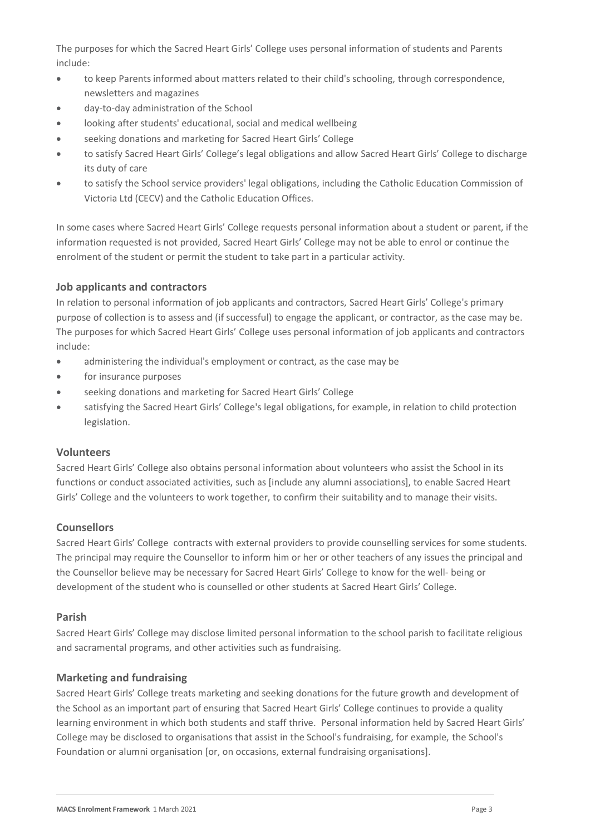The purposes for which the Sacred Heart Girls' College uses personal information of students and Parents include:

- to keep Parents informed about matters related to their child's schooling, through correspondence, newsletters and magazines
- day-to-day administration of the School
- looking after students' educational, social and medical wellbeing
- seeking donations and marketing for Sacred Heart Girls' College
- to satisfy Sacred Heart Girls' College's legal obligations and allow Sacred Heart Girls' College to discharge its duty of care
- to satisfy the School service providers' legal obligations, including the Catholic Education Commission of Victoria Ltd (CECV) and the Catholic Education Offices.

In some cases where Sacred Heart Girls' College requests personal information about a student or parent, if the information requested is not provided, Sacred Heart Girls' College may not be able to enrol or continue the enrolment of the student or permit the student to take part in a particular activity.

#### **Job applicants and contractors**

In relation to personal information of job applicants and contractors, Sacred Heart Girls' College's primary purpose of collection is to assess and (if successful) to engage the applicant, or contractor, as the case may be. The purposes for which Sacred Heart Girls' College uses personal information of job applicants and contractors include:

- administering the individual's employment or contract, as the case may be
- for insurance purposes
- seeking donations and marketing for Sacred Heart Girls' College
- satisfying the Sacred Heart Girls' College's legal obligations, for example, in relation to child protection legislation.

#### **Volunteers**

Sacred Heart Girls' College also obtains personal information about volunteers who assist the School in its functions or conduct associated activities, such as [include any alumni associations], to enable Sacred Heart Girls' College and the volunteers to work together, to confirm their suitability and to manage their visits.

#### **Counsellors**

Sacred Heart Girls' College contracts with external providers to provide counselling services for some students. The principal may require the Counsellor to inform him or her or other teachers of any issues the principal and the Counsellor believe may be necessary for Sacred Heart Girls' College to know for the well- being or development of the student who is counselled or other students at Sacred Heart Girls' College.

#### **Parish**

Sacred Heart Girls' College may disclose limited personal information to the school parish to facilitate religious and sacramental programs, and other activities such as fundraising.

#### **Marketing and fundraising**

Sacred Heart Girls' College treats marketing and seeking donations for the future growth and development of the School as an important part of ensuring that Sacred Heart Girls' College continues to provide a quality learning environment in which both students and staff thrive. Personal information held by Sacred Heart Girls' College may be disclosed to organisations that assist in the School's fundraising, for example, the School's Foundation or alumni organisation [or, on occasions, external fundraising organisations].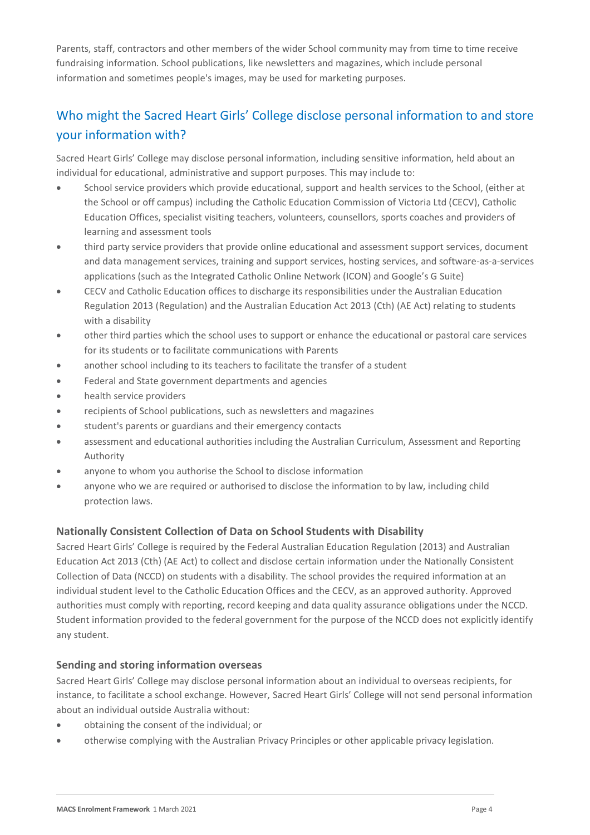Parents, staff, contractors and other members of the wider School community may from time to time receive fundraising information. School publications, like newsletters and magazines, which include personal information and sometimes people's images, may be used for marketing purposes.

## Who might the Sacred Heart Girls' College disclose personal information to and store your information with?

Sacred Heart Girls' College may disclose personal information, including sensitive information, held about an individual for educational, administrative and support purposes. This may include to:

- School service providers which provide educational, support and health services to the School, (either at the School or off campus) including the Catholic Education Commission of Victoria Ltd (CECV), Catholic Education Offices, specialist visiting teachers, volunteers, counsellors, sports coaches and providers of learning and assessment tools
- third party service providers that provide online educational and assessment support services, document and data management services, training and support services, hosting services, and software-as-a-services applications (such as the Integrated Catholic Online Network (ICON) and Google's G Suite)
- CECV and Catholic Education offices to discharge its responsibilities under the Australian Education Regulation 2013 (Regulation) and the Australian Education Act 2013 (Cth) (AE Act) relating to students with a disability
- other third parties which the school uses to support or enhance the educational or pastoral care services for its students or to facilitate communications with Parents
- another school including to its teachers to facilitate the transfer of a student
- Federal and State government departments and agencies
- health service providers
- recipients of School publications, such as newsletters and magazines
- student's parents or guardians and their emergency contacts
- assessment and educational authorities including the Australian Curriculum, Assessment and Reporting Authority
- anyone to whom you authorise the School to disclose information
- anyone who we are required or authorised to disclose the information to by law, including child protection laws.

#### **Nationally Consistent Collection of Data on School Students with Disability**

Sacred Heart Girls' College is required by the Federal Australian Education Regulation (2013) and Australian Education Act 2013 (Cth) (AE Act) to collect and disclose certain information under the Nationally Consistent Collection of Data (NCCD) on students with a disability. The school provides the required information at an individual student level to the Catholic Education Offices and the CECV, as an approved authority. Approved authorities must comply with reporting, record keeping and data quality assurance obligations under the NCCD. Student information provided to the federal government for the purpose of the NCCD does not explicitly identify any student.

#### **Sending and storing information overseas**

Sacred Heart Girls' College may disclose personal information about an individual to overseas recipients, for instance, to facilitate a school exchange. However, Sacred Heart Girls' College will not send personal information about an individual outside Australia without:

- obtaining the consent of the individual; or
- otherwise complying with the Australian Privacy Principles or other applicable privacy legislation.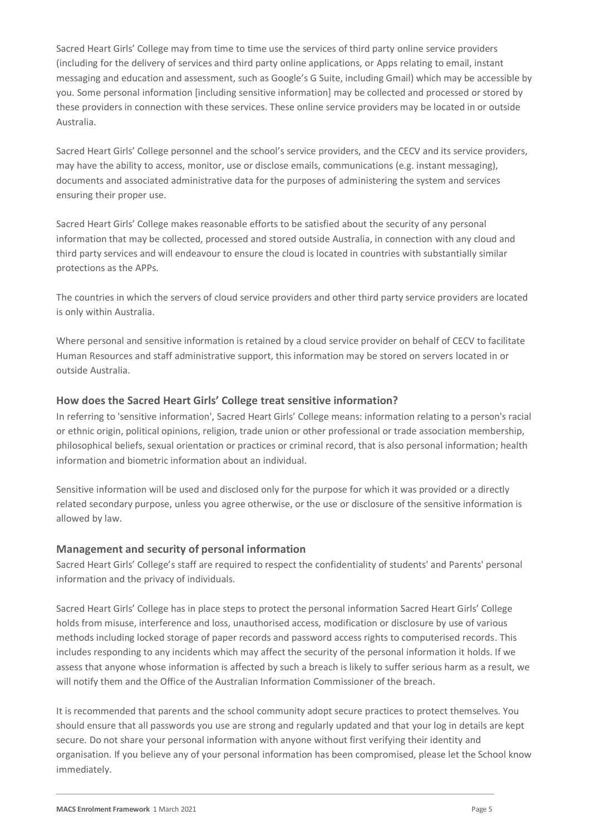Sacred Heart Girls' College may from time to time use the services of third party online service providers (including for the delivery of services and third party online applications, or Apps relating to email, instant messaging and education and assessment, such as Google's G Suite, including Gmail) which may be accessible by you. Some personal information [including sensitive information] may be collected and processed or stored by these providers in connection with these services. These online service providers may be located in or outside Australia.

Sacred Heart Girls' College personnel and the school's service providers, and the CECV and its service providers, may have the ability to access, monitor, use or disclose emails, communications (e.g. instant messaging), documents and associated administrative data for the purposes of administering the system and services ensuring their proper use.

Sacred Heart Girls' College makes reasonable efforts to be satisfied about the security of any personal information that may be collected, processed and stored outside Australia, in connection with any cloud and third party services and will endeavour to ensure the cloud is located in countries with substantially similar protections as the APPs.

The countries in which the servers of cloud service providers and other third party service providers are located is only within Australia.

Where personal and sensitive information is retained by a cloud service provider on behalf of CECV to facilitate Human Resources and staff administrative support, this information may be stored on servers located in or outside Australia.

#### **How does the Sacred Heart Girls' College treat sensitive information?**

In referring to 'sensitive information', Sacred Heart Girls' College means: information relating to a person's racial or ethnic origin, political opinions, religion, trade union or other professional or trade association membership, philosophical beliefs, sexual orientation or practices or criminal record, that is also personal information; health information and biometric information about an individual.

Sensitive information will be used and disclosed only for the purpose for which it was provided or a directly related secondary purpose, unless you agree otherwise, or the use or disclosure of the sensitive information is allowed by law.

#### **Management and security of personal information**

Sacred Heart Girls' College's staff are required to respect the confidentiality of students' and Parents' personal information and the privacy of individuals.

Sacred Heart Girls' College has in place steps to protect the personal information Sacred Heart Girls' College holds from misuse, interference and loss, unauthorised access, modification or disclosure by use of various methods including locked storage of paper records and password access rights to computerised records. This includes responding to any incidents which may affect the security of the personal information it holds. If we assess that anyone whose information is affected by such a breach is likely to suffer serious harm as a result, we will notify them and the Office of the Australian Information Commissioner of the breach.

It is recommended that parents and the school community adopt secure practices to protect themselves. You should ensure that all passwords you use are strong and regularly updated and that your log in details are kept secure. Do not share your personal information with anyone without first verifying their identity and organisation. If you believe any of your personal information has been compromised, please let the School know immediately.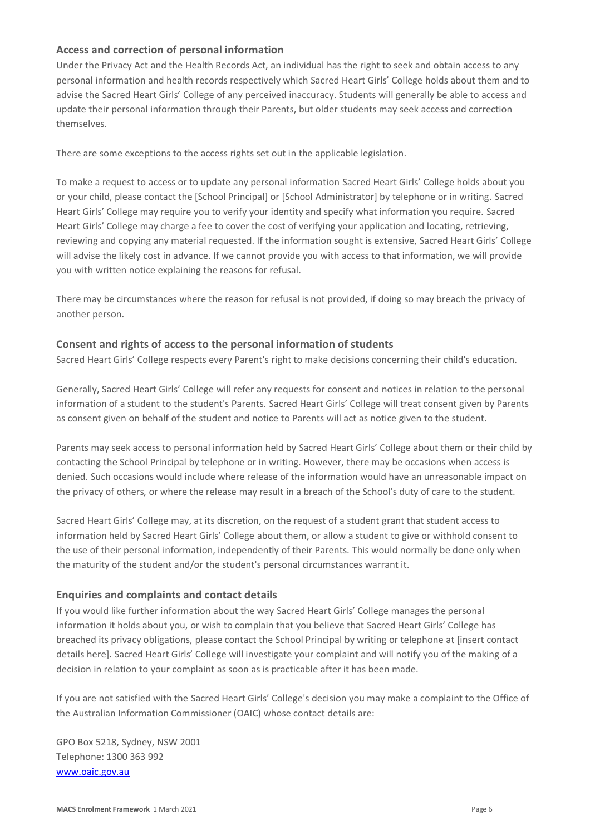#### **Access and correction of personal information**

Under the Privacy Act and the Health Records Act, an individual has the right to seek and obtain access to any personal information and health records respectively which Sacred Heart Girls' College holds about them and to advise the Sacred Heart Girls' College of any perceived inaccuracy. Students will generally be able to access and update their personal information through their Parents, but older students may seek access and correction themselves.

There are some exceptions to the access rights set out in the applicable legislation.

To make a request to access or to update any personal information Sacred Heart Girls' College holds about you or your child, please contact the [School Principal] or [School Administrator] by telephone or in writing. Sacred Heart Girls' College may require you to verify your identity and specify what information you require. Sacred Heart Girls' College may charge a fee to cover the cost of verifying your application and locating, retrieving, reviewing and copying any material requested. If the information sought is extensive, Sacred Heart Girls' College will advise the likely cost in advance. If we cannot provide you with access to that information, we will provide you with written notice explaining the reasons for refusal.

There may be circumstances where the reason for refusal is not provided, if doing so may breach the privacy of another person.

#### **Consent and rights of access to the personal information of students**

Sacred Heart Girls' College respects every Parent's right to make decisions concerning their child's education.

Generally, Sacred Heart Girls' College will refer any requests for consent and notices in relation to the personal information of a student to the student's Parents. Sacred Heart Girls' College will treat consent given by Parents as consent given on behalf of the student and notice to Parents will act as notice given to the student.

Parents may seek access to personal information held by Sacred Heart Girls' College about them or their child by contacting the School Principal by telephone or in writing. However, there may be occasions when access is denied. Such occasions would include where release of the information would have an unreasonable impact on the privacy of others, or where the release may result in a breach of the School's duty of care to the student.

Sacred Heart Girls' College may, at its discretion, on the request of a student grant that student access to information held by Sacred Heart Girls' College about them, or allow a student to give or withhold consent to the use of their personal information, independently of their Parents. This would normally be done only when the maturity of the student and/or the student's personal circumstances warrant it.

#### **Enquiries and complaints and contact details**

If you would like further information about the way Sacred Heart Girls' College manages the personal information it holds about you, or wish to complain that you believe that Sacred Heart Girls' College has breached its privacy obligations, please contact the School Principal by writing or telephone at [insert contact details here]. Sacred Heart Girls' College will investigate your complaint and will notify you of the making of a decision in relation to your complaint as soon as is practicable after it has been made.

If you are not satisfied with the Sacred Heart Girls' College's decision you may make a complaint to the Office of the Australian Information Commissioner (OAIC) whose contact details are:

GPO Box 5218, Sydney, NSW 2001 Telephone: 1300 363 992 [www.oaic.gov.au](http://www.oaic.gov.au/)